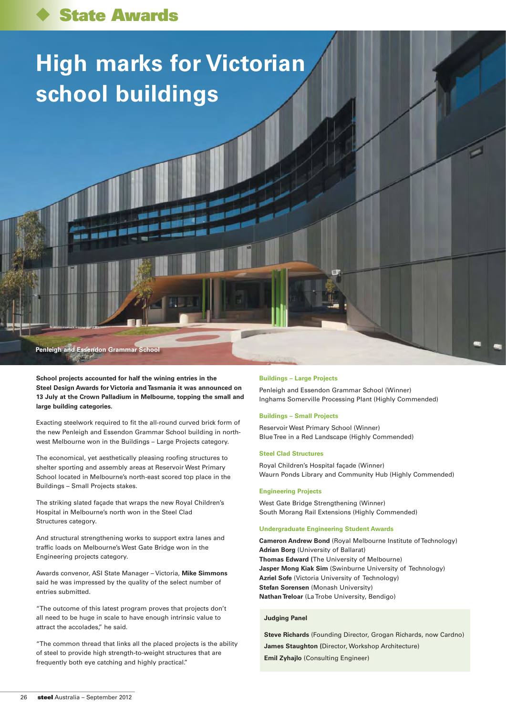# **High marks for Victorian school buildings**

**Penleigh and Essendon Grammar School** 

**School projects accounted for half the wining entries in the Steel Design Awards for Victoria and Tasmania it was announced on 13 July at the Crown Palladium in Melbourne, topping the small and large building categories.**

Exacting steelwork required to fit the all-round curved brick form of the new Penleigh and Essendon Grammar School building in northwest Melbourne won in the Buildings – Large Projects category.

The economical, yet aesthetically pleasing roofing structures to shelter sporting and assembly areas at Reservoir West Primary School located in Melbourne's north-east scored top place in the Buildings – Small Projects stakes.

The striking slated façade that wraps the new Royal Children's Hospital in Melbourne's north won in the Steel Clad Structures category.

And structural strengthening works to support extra lanes and traffic loads on Melbourne's West Gate Bridge won in the Engineering projects category.

Awards convenor, ASI State Manager – Victoria, **Mike Simmons** said he was impressed by the quality of the select number of entries submitted.

"The outcome of this latest program proves that projects don't all need to be huge in scale to have enough intrinsic value to attract the accolades," he said.

"The common thread that links all the placed projects is the ability of steel to provide high strength-to-weight structures that are frequently both eye catching and highly practical."

#### **Buildings – Large Projects**

Penleigh and Essendon Grammar School (Winner) Inghams Somerville Processing Plant (Highly Commended)

# **Buildings – Small Projects**

Reservoir West Primary School (Winner) Blue Tree in a Red Landscape (Highly Commended)

#### **Steel Clad Structures**

Royal Children's Hospital façade (Winner) Waurn Ponds Library and Community Hub (Highly Commended)

#### **Engineering Projects**

West Gate Bridge Strengthening (Winner) South Morang Rail Extensions (Highly Commended)

#### **Undergraduate Engineering Student Awards**

**Cameron Andrew Bond** (Royal Melbourne Institute of Technology) **Adrian Borg** (University of Ballarat) **Thomas Edward (**The University of Melbourne) **Jasper Mong Kiak Sim** (Swinburne University of Technology) **Azriel Sofe** (Victoria University of Technology) **Stefan Sorensen** (Monash University) **Nathan Treloar** (La Trobe University, Bendigo)

# **Judging Panel**

**Steve Richards** (Founding Director, Grogan Richards, now Cardno) **James Staughton (**Director, Workshop Architecture) **Emil Zyhajlo** (Consulting Engineer)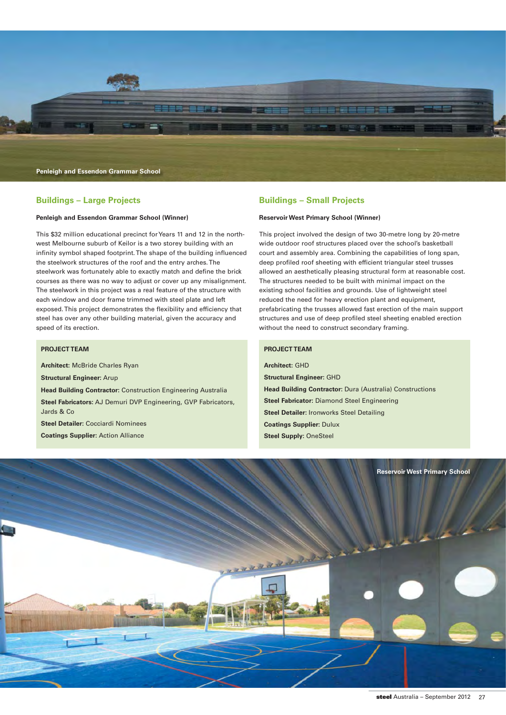

# **Buildings – Large Projects**

## **Penleigh and Essendon Grammar School (Winner)**

This \$32 million educational precinct for Years 11 and 12 in the northwest Melbourne suburb of Keilor is a two storey building with an infinity symbol shaped footprint. The shape of the building influenced the steelwork structures of the roof and the entry arches. The steelwork was fortunately able to exactly match and define the brick courses as there was no way to adjust or cover up any misalignment. The steelwork in this project was a real feature of the structure with each window and door frame trimmed with steel plate and left exposed. This project demonstrates the flexibility and efficiency that steel has over any other building material, given the accuracy and speed of its erection.

# **PROJECT TEAM**

**Architect:** McBride Charles Ryan **Structural Engineer:** Arup **Head Building Contractor:** Construction Engineering Australia **Steel Fabricators:** AJ Demuri DVP Engineering, GVP Fabricators, Jards & Co **Steel Detailer:** Cocciardi Nominees **Coatings Supplier:** Action Alliance

# **Buildings – Small Projects**

# **Reservoir West Primary School (Winner)**

This project involved the design of two 30-metre long by 20-metre wide outdoor roof structures placed over the school's basketball court and assembly area. Combining the capabilities of long span, deep profiled roof sheeting with efficient triangular steel trusses allowed an aesthetically pleasing structural form at reasonable cost. The structures needed to be built with minimal impact on the existing school facilities and grounds. Use of lightweight steel reduced the need for heavy erection plant and equipment, prefabricating the trusses allowed fast erection of the main support structures and use of deep profiled steel sheeting enabled erection without the need to construct secondary framing.

# **PROJECT TEAM**

**Architect:** GHD **Structural Engineer:** GHD **Head Building Contractor:** Dura (Australia) Constructions **Steel Fabricator:** Diamond Steel Engineering **Steel Detailer:** Ironworks Steel Detailing **Coatings Supplier:** Dulux **Steel Supply:** OneSteel

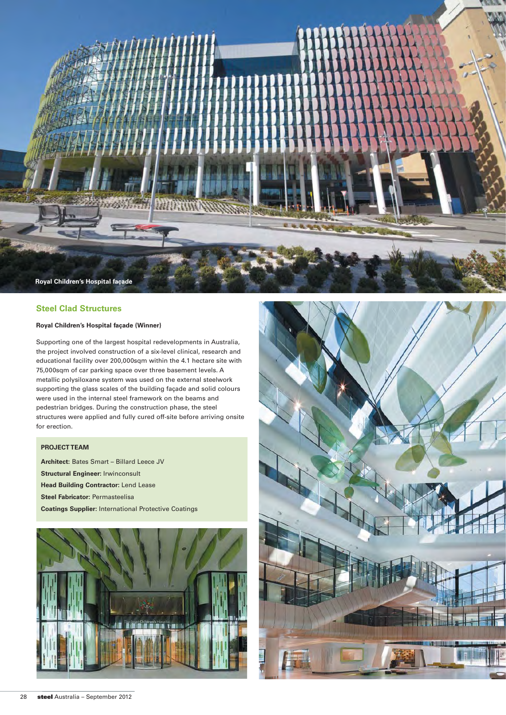

# **Steel Clad Structures**

# **Royal Children's Hospital façade (Winner)**

Supporting one of the largest hospital redevelopments in Australia, the project involved construction of a six-level clinical, research and educational facility over 200,000sqm within the 4.1 hectare site with 75,000sqm of car parking space over three basement levels. A metallic polysiloxane system was used on the external steelwork supporting the glass scales of the building façade and solid colours were used in the internal steel framework on the beams and pedestrian bridges. During the construction phase, the steel structures were applied and fully cured off-site before arriving onsite for erection.

# **PROJECT TEAM**

**Architect:** Bates Smart – Billard Leece JV **Structural Engineer:** Irwinconsult **Head Building Contractor:** Lend Lease **Steel Fabricator:** Permasteelisa **Coatings Supplier:** International Protective Coatings